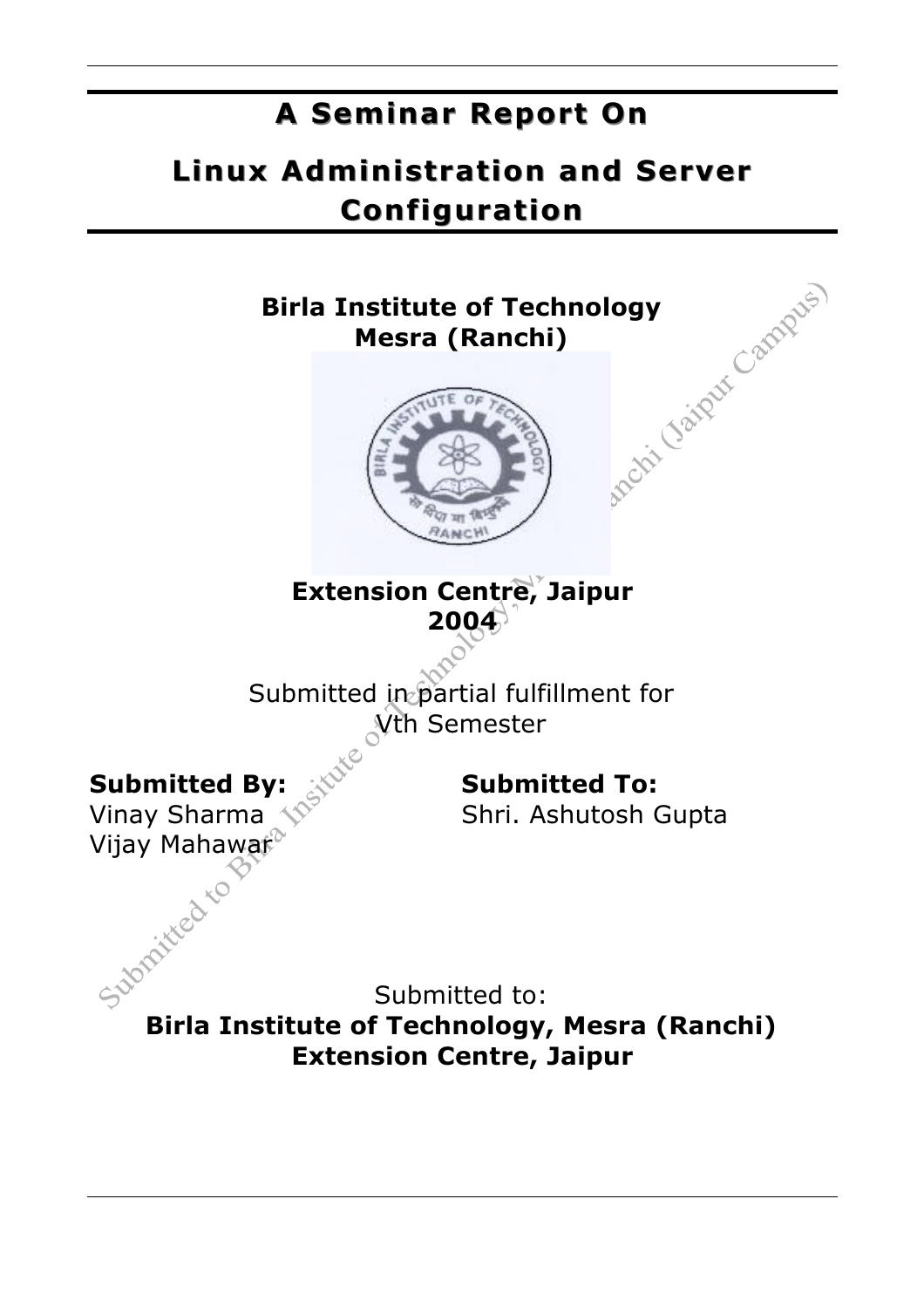### **A Seminar Report On A Seminar Report On**

### **Linux Administration and Server Configuration Configuration**

# **Birla Institute of Technology<br>
Mesra (Ranchi)**<br> **Algebra 1999 Mesra (Ranchi) Extension Centre, Jaipur 2004** Submitted in partial fulfillment for Vth Semester **Submitted By: Submitted To:** Vinay Sharma  $\sqrt{S}$  Shri. Ashutosh Gupta Vijay Mahawar<sup>o</sup> Submitted to:

**Birla Institute of Technology, Mesra (Ranchi) Extension Centre, Jaipur**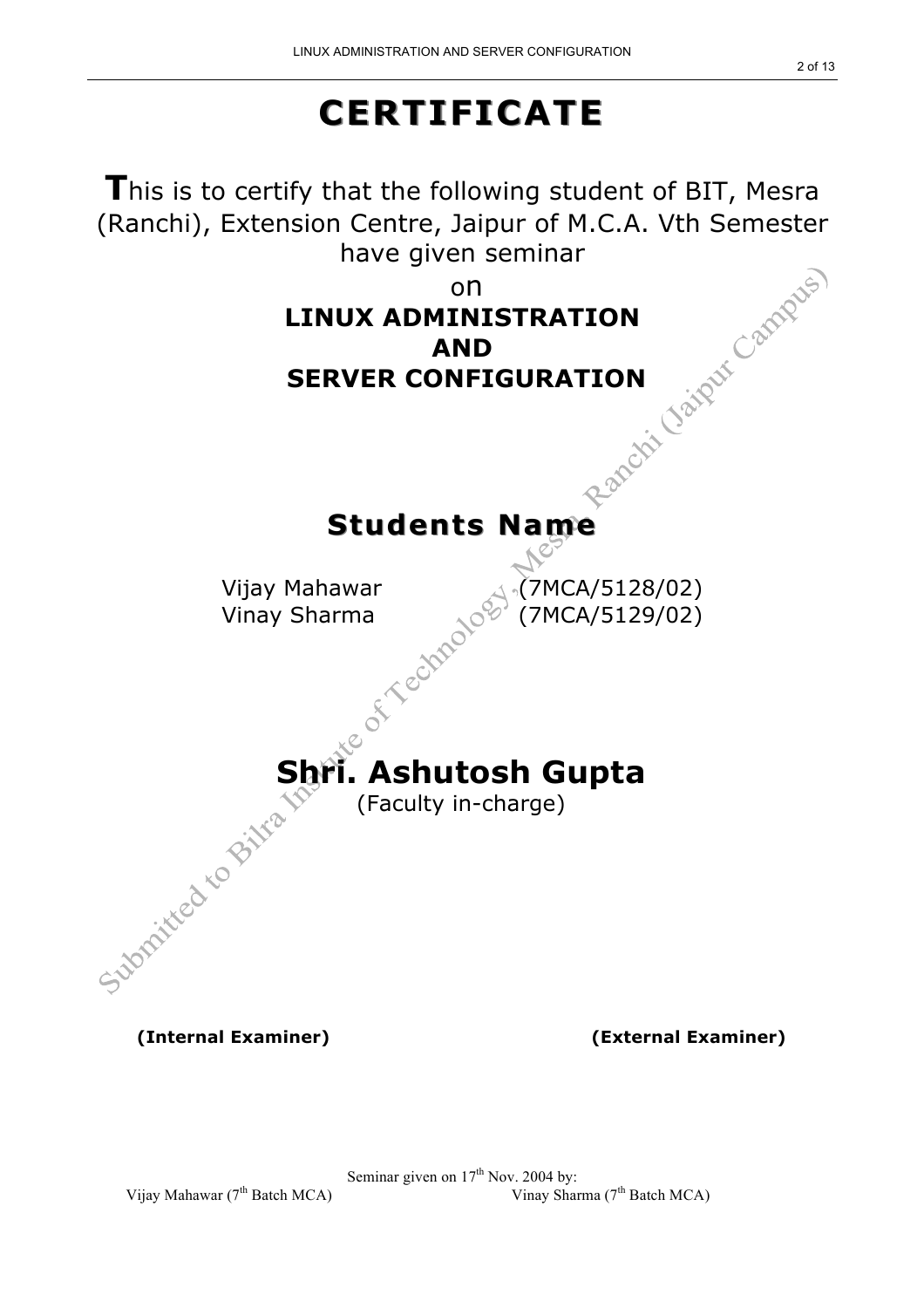## **CERTIFICATE CERTIFICATE**

**T**his is to certify that the following student of BIT, Mesra (Ranchi), Extension Centre, Jaipur of M.C.A. Vth Semester<br>have given seminar<br>on<br>**LINUX ADMINISTRATION<br>AND<br>SERVER CONFIGURAT** have given seminar on **LINUX ADMINISTRATION AND SERVER CONFIGURATION Students Name Students Name** Vijay Mahawar<br>Vinay Sharma<br>Expression (7MCA/5129/02) Vinay Sharma (7MCA/5129/02) **Shri. Ashutosh Gupta** (Faculty in-charge)

**(Internal Examiner) (External Examiner)**

Vijay Mahawar ( $7<sup>th</sup>$  Batch MCA)

Seminar given on  $17^{\text{th}}$  Nov. 2004 by:<br>Vinay Sharma ( $7^{\text{th}}$  Batch MCA)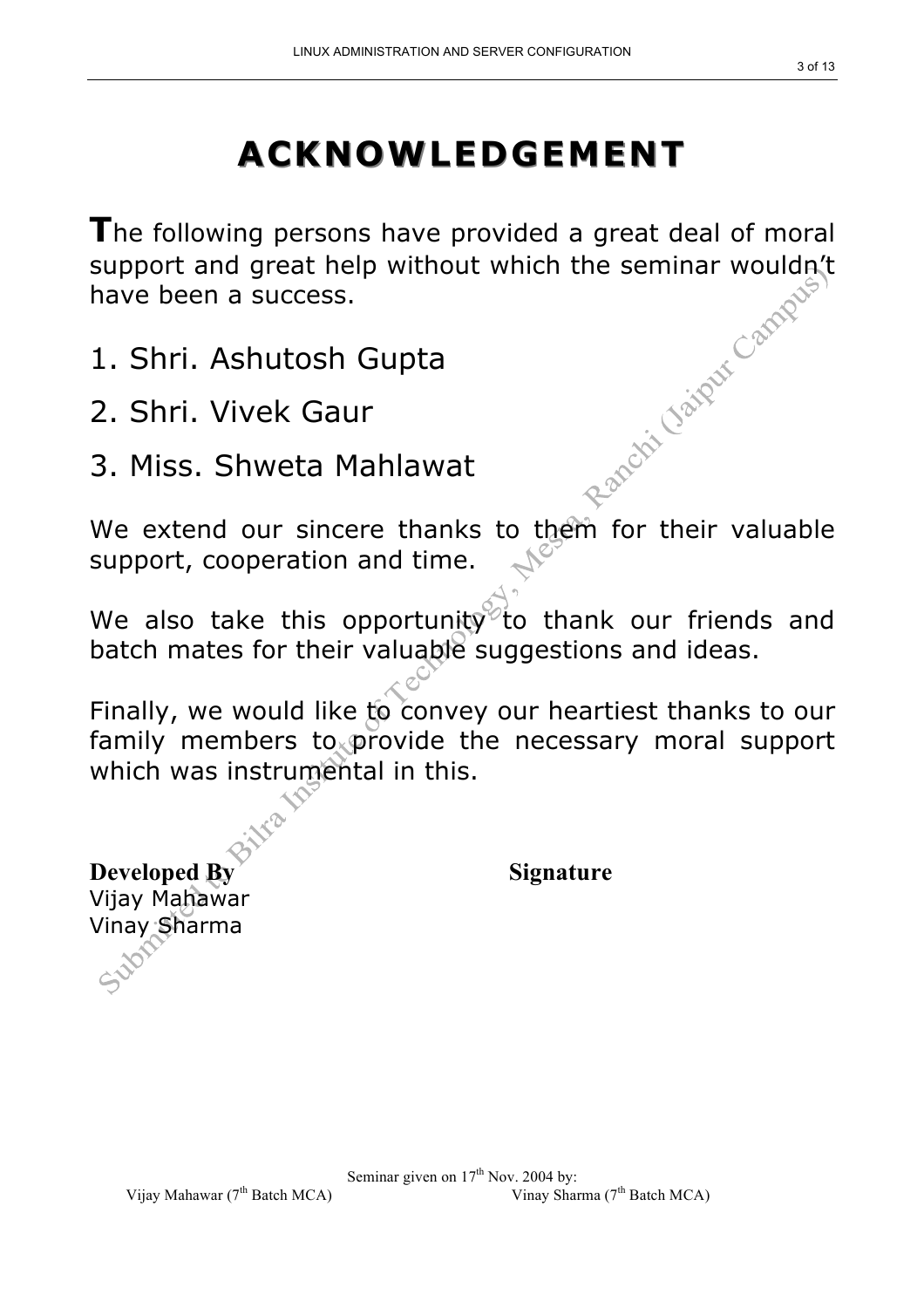## **ACKNOWLEDGEMENT ACKNOWLEDGEMENT**

**T**he following persons have provided a great deal of moral support and great help without which the seminar wouldn't<br>have been a success.<br>1. Shri. Ashutosh Gupta<br>2. Shri. Vivek Gaur<br>3. Miss. Shwethave been a success.

- 1. Shri. Ashutosh Gupta
- 2. Shri. Vivek Gaur
- 3. Miss. Shweta Mahlawat

We extend our sincere thanks to them for their valuable support, cooperation and time.

We also take this opportunity to thank our friends and batch mates for their valuable suggestions and ideas.

Finally, we would like to convey our heartiest thanks to our family members to provide the necessary moral support which was instrumental in this.

**Developed By Signature** Vijay Mahawar Vinay Sharma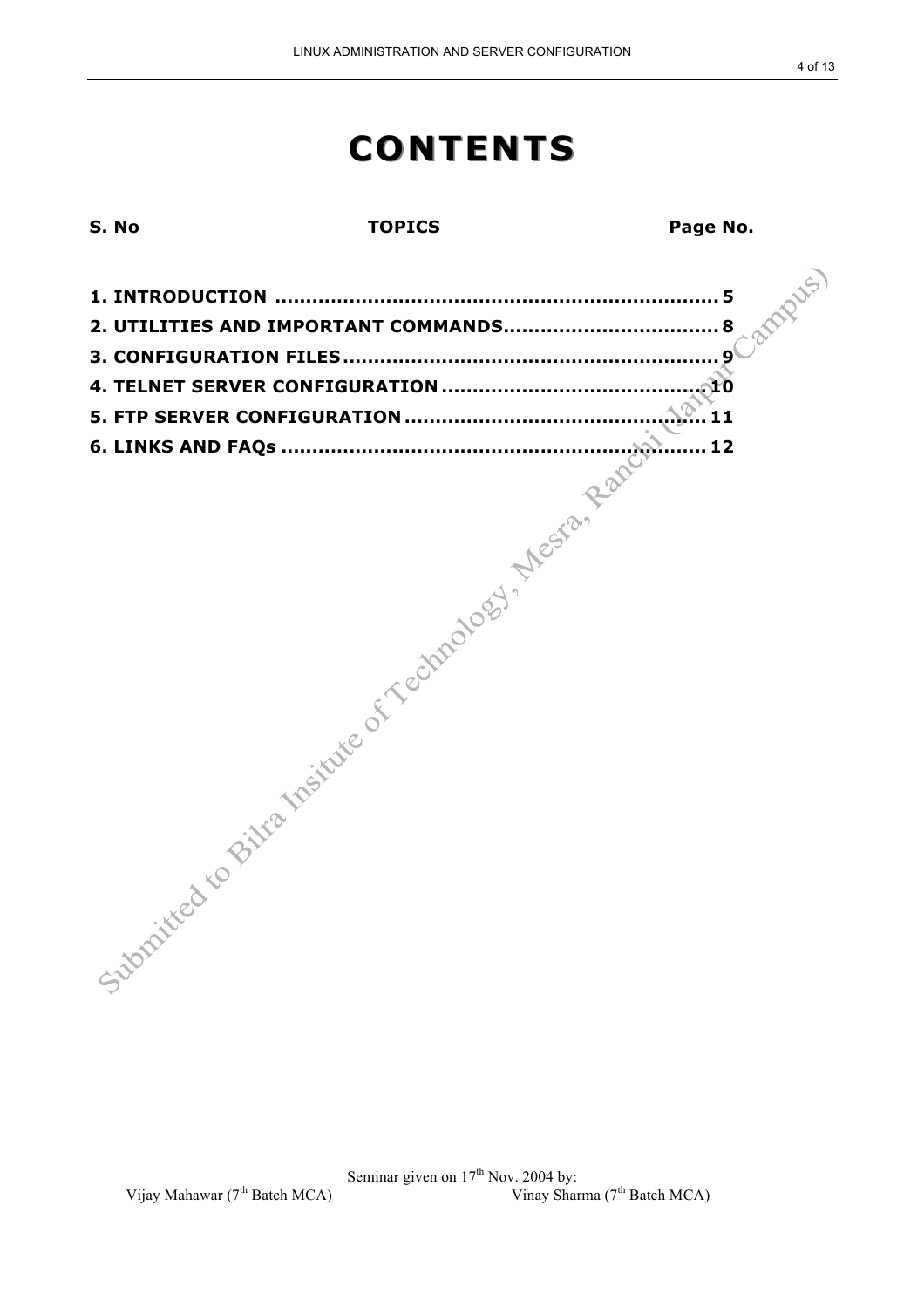### **CONTENTS CONTENTS**

**S. No TOPICS Page No.**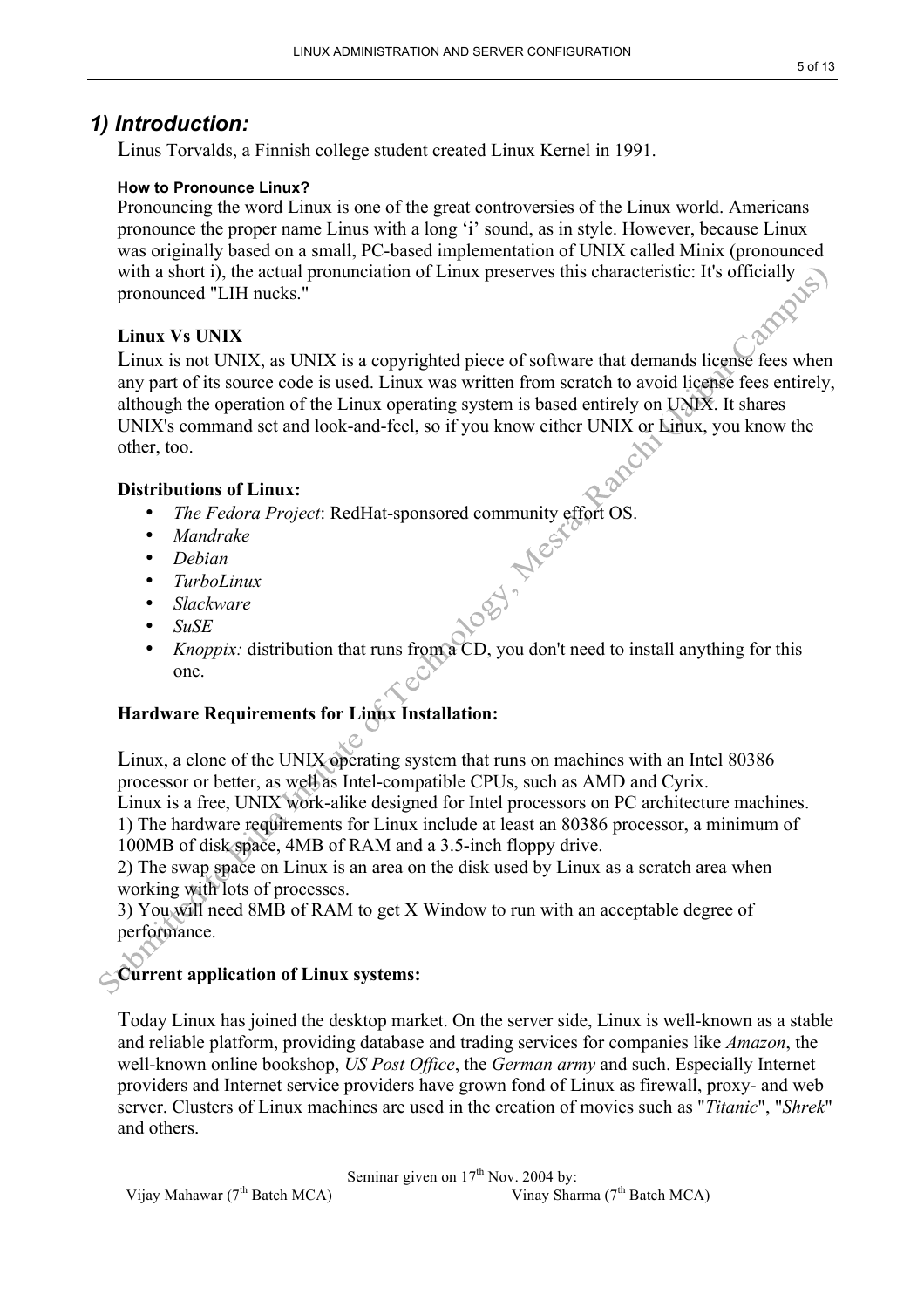### *1) Introduction:*

Linus Torvalds, a Finnish college student created Linux Kernel in 1991.

#### **How to Pronounce Linux?**

Pronouncing the word Linux is one of the great controversies of the Linux world. Americans pronounce the proper name Linus with a long 'i' sound, as in style. However, because Linux was originally based on a small, PC-based implementation of UNIX called Minix (pronounced with a short i), the actual pronunciation of Linux preserves this characteristic: It's officially pronounced "LIH nucks."

#### **Linux Vs UNIX**

Linux is not UNIX, as UNIX is a copyrighted piece of software that demands license fees when any part of its source code is used. Linux was written from scratch to avoid license fees entirely, although the operation of the Linux operating system is based entirely on UNIX. It shares UNIX's command set and look-and-feel, so if you know either UNIX or Linux, you know the other, too.

#### **Distributions of Linux:**

- The Fedora Project: RedHat-sponsored community effort OS.<br> *Mandrake*<br> *Debian*<br> *TurboLinux*<br> *Slackware*<br> *SuSE*
- *Mandrake*
- *Debian*
- *TurboLinux*
- *Slackware*
- *SuSE*
- *Knoppix:* distribution that runs from a CD, you don't need to install anything for this one.

#### **Hardware Requirements for Linux Installation:**

Linux, a clone of the UNIX operating system that runs on machines with an Intel 80386 processor or better, as well as Intel-compatible CPUs, such as AMD and Cyrix.

Linux is a free, UNIX work-alike designed for Intel processors on PC architecture machines. 1) The hardware requirements for Linux include at least an 80386 processor, a minimum of 100MB of disk space, 4MB of RAM and a 3.5-inch floppy drive.

2) The swap space on Linux is an area on the disk used by Linux as a scratch area when working with lots of processes.

3) You will need 8MB of RAM to get X Window to run with an acceptable degree of performance.

### **Current application of Linux systems:**

Today Linux has joined the desktop market. On the server side, Linux is well-known as a stable and reliable platform, providing database and trading services for companies like *Amazon*, the well-known online bookshop, *US Post Office*, the *German army* and such. Especially Internet providers and Internet service providers have grown fond of Linux as firewall, proxy- and web server. Clusters of Linux machines are used in the creation of movies such as "*Titanic*", "*Shrek*" and others.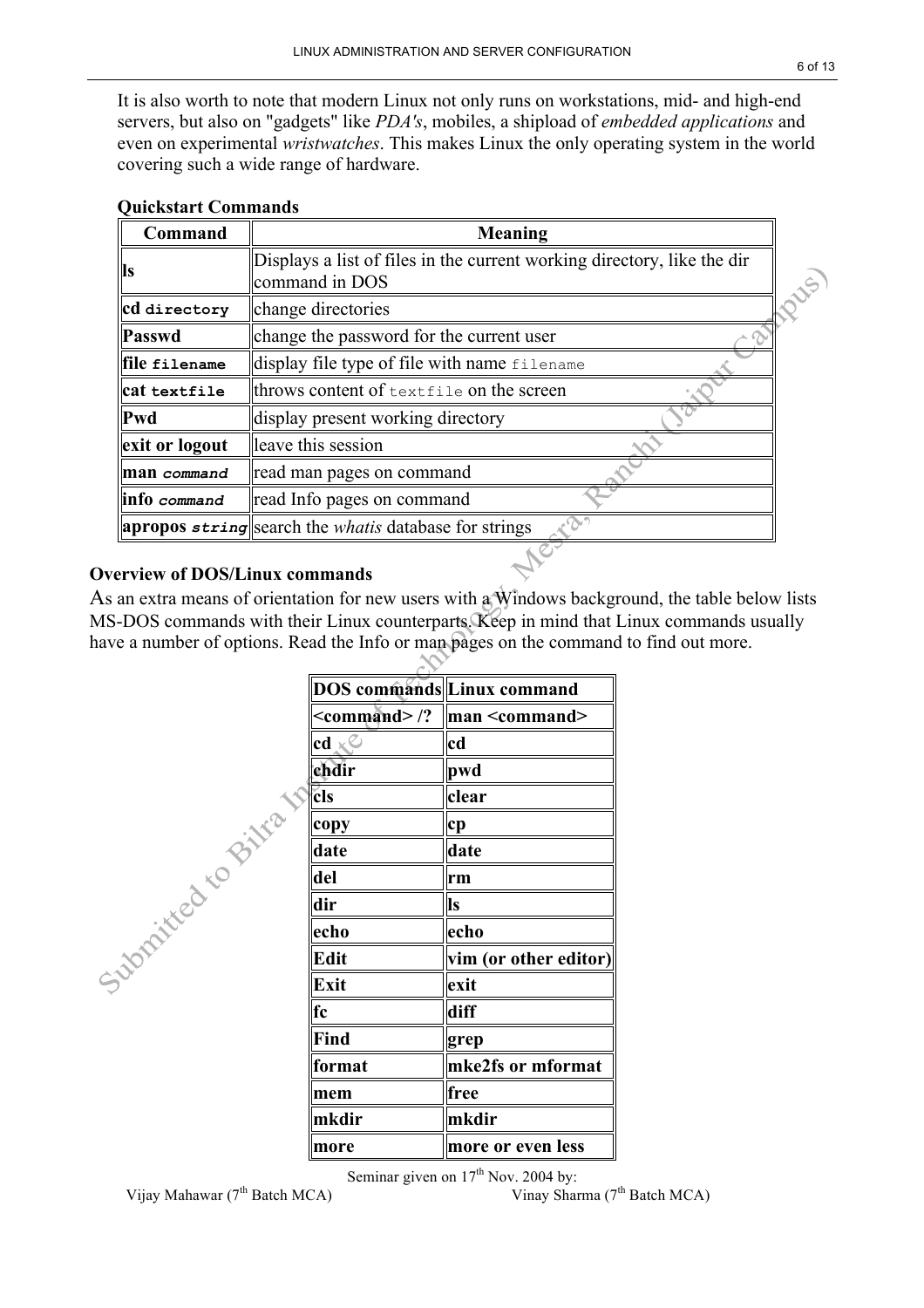It is also worth to note that modern Linux not only runs on workstations, mid- and high-end servers, but also on "gadgets" like *PDA's*, mobiles, a shipload of *embedded applications* and even on experimental *wristwatches*. This makes Linux the only operating system in the world covering such a wide range of hardware.

| Command        | Meaning                                                                                   |  |
|----------------|-------------------------------------------------------------------------------------------|--|
| <b>Is</b>      | Displays a list of files in the current working directory, like the dir<br>command in DOS |  |
| cd directory   | change directories                                                                        |  |
| Passwd         | change the password for the current user                                                  |  |
| file filename  | display file type of file with name filename                                              |  |
| cat textfile   | throws content of textfile on the screen                                                  |  |
| $\ Pwd\ $      | display present working directory                                                         |  |
| exit or logout | leave this session                                                                        |  |
| man command    | read man pages on command                                                                 |  |
| info command   | read Info pages on command                                                                |  |
|                | <b>apropos</b> string search the <i>whatis</i> database for strings                       |  |
|                |                                                                                           |  |

#### **Quickstart Commands**

#### **Overview of DOS/Linux commands**

As an extra means of orientation for new users with a Windows background, the table below lists MS-DOS commands with their Linux counterparts. Keep in mind that Linux commands usually have a number of options. Read the Info or man pages on the command to find out more.

 $\infty$ 

|                   |                        | DOS commands Linux command           |
|-------------------|------------------------|--------------------------------------|
|                   | $<$ command>/?         | $\mathbf{man} \leq \mathbf{command}$ |
|                   | $cd \times^\mathbb{C}$ | cd                                   |
|                   | chdir                  | pwd                                  |
| Supplier to Bitta | cls                    | clear                                |
|                   | copy                   | cp                                   |
|                   | date                   | date                                 |
|                   | del                    | rm                                   |
|                   | dir                    | <b>Is</b>                            |
|                   | echo                   | echo                                 |
|                   | Edit                   | vim (or other editor)                |
|                   | Exit                   | exit                                 |
|                   | fc                     | diff                                 |
|                   | Find                   | grep                                 |
|                   | format                 | mke2fs or mformat                    |
|                   | mem                    | free                                 |
|                   | mkdir                  | mkdir                                |
|                   | more                   | more or even less                    |

Vijay Mahawar (7<sup>th</sup> Batch MCA)

Seminar given on  $17^{\text{th}}$  Nov. 2004 by:<br>Vinay Sharma ( $7^{\text{th}}$  Batch MCA)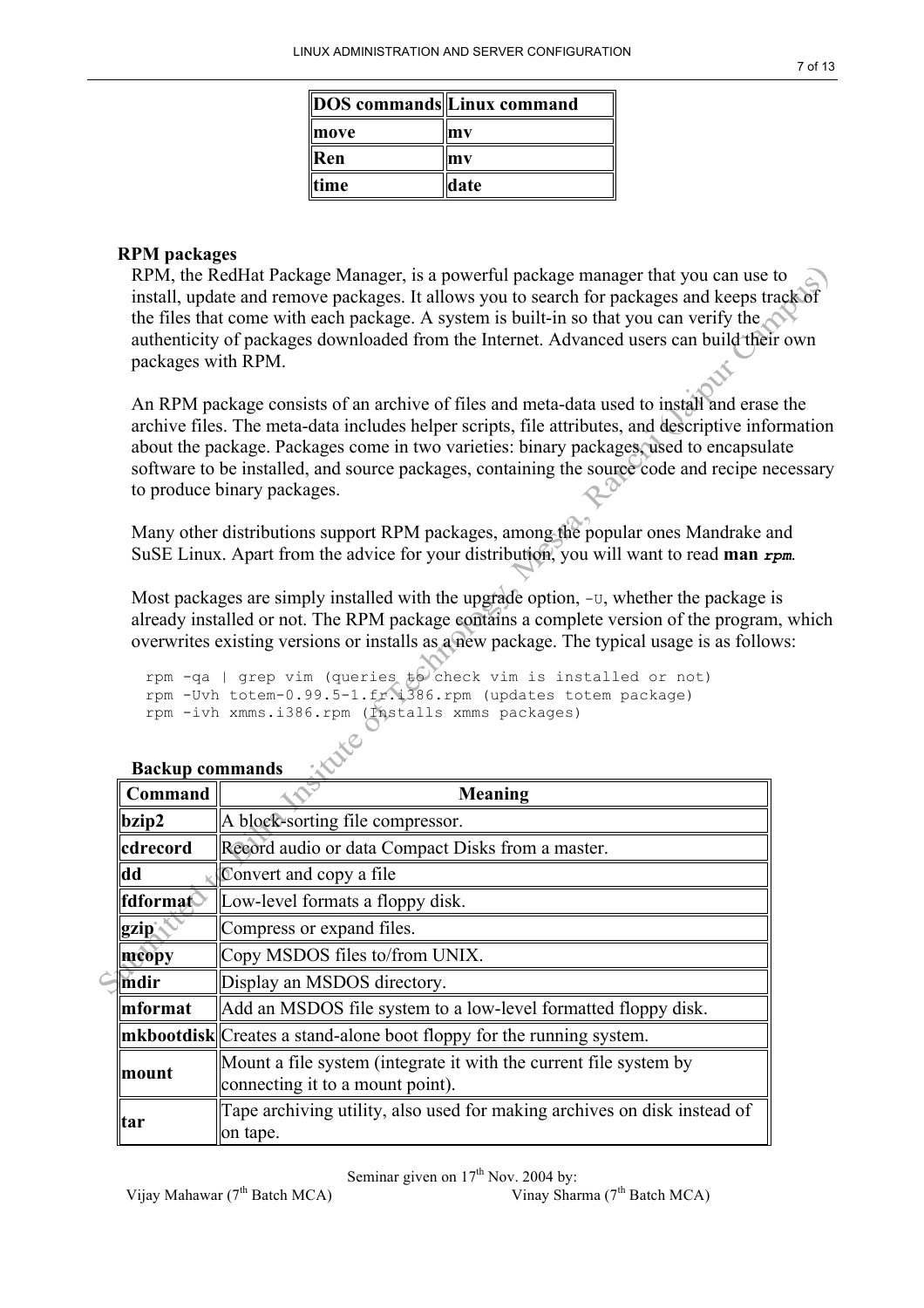|      | DOS commands Linux command |
|------|----------------------------|
| move | mv                         |
| Ken  | mv                         |
| time | date                       |

#### **RPM packages**

RPM, the RedHat Package Manager, is a powerful package manager that you can use to install, update and remove packages. It allows you to search for packages and keeps track of the files that come with each package. A system is built-in so that you can verify the authenticity of packages downloaded from the Internet. Advanced users can build their own packages with RPM.

An RPM package consists of an archive of files and meta-data used to install and erase the archive files. The meta-data includes helper scripts, file attributes, and descriptive information about the package. Packages come in two varieties: binary packages, used to encapsulate software to be installed, and source packages, containing the source code and recipe necessary to produce binary packages.

Many other distributions support RPM packages, among the popular ones Mandrake and SuSE Linux. Apart from the advice for your distribution, you will want to read **man** *rpm*.

Most packages are simply installed with the upgrade option,  $-v$ , whether the package is already installed or not. The RPM package contains a complete version of the program, which overwrites existing versions or installs as a new package. The typical usage is as follows:

rpm -qa | grep vim (queries  $t\theta$  check vim is installed or not) rpm -Uvh totem-0.99.5-1.fr.i386.rpm (updates totem package) rpm -ivh xmms.i386.rpm (Installs xmms packages)

| Command  | Meaning                                                                                                                                                      |  |  |
|----------|--------------------------------------------------------------------------------------------------------------------------------------------------------------|--|--|
| bzip2    | A block-sorting file compressor.                                                                                                                             |  |  |
| cdrecord | Record audio or data Compact Disks from a master.                                                                                                            |  |  |
| dd       | Convert and copy a file                                                                                                                                      |  |  |
| fdformat | Low-level formats a floppy disk.                                                                                                                             |  |  |
| gzip     | Compress or expand files.<br>Copy MSDOS files to/from UNIX.<br>Display an MSDOS directory.<br>Add an MSDOS file system to a low-level formatted floppy disk. |  |  |
| mcopy    |                                                                                                                                                              |  |  |
| mdir     |                                                                                                                                                              |  |  |
| mformat  |                                                                                                                                                              |  |  |
|          | <b>mkbootdisk</b> Creates a stand-alone boot floppy for the running system.                                                                                  |  |  |
| mount    | Mount a file system (integrate it with the current file system by<br>connecting it to a mount point).                                                        |  |  |
| tar      | Tape archiving utility, also used for making archives on disk instead of<br>on tape.                                                                         |  |  |

#### **Backup commands**

Seminar given on  $17<sup>th</sup>$  Nov. 2004 by: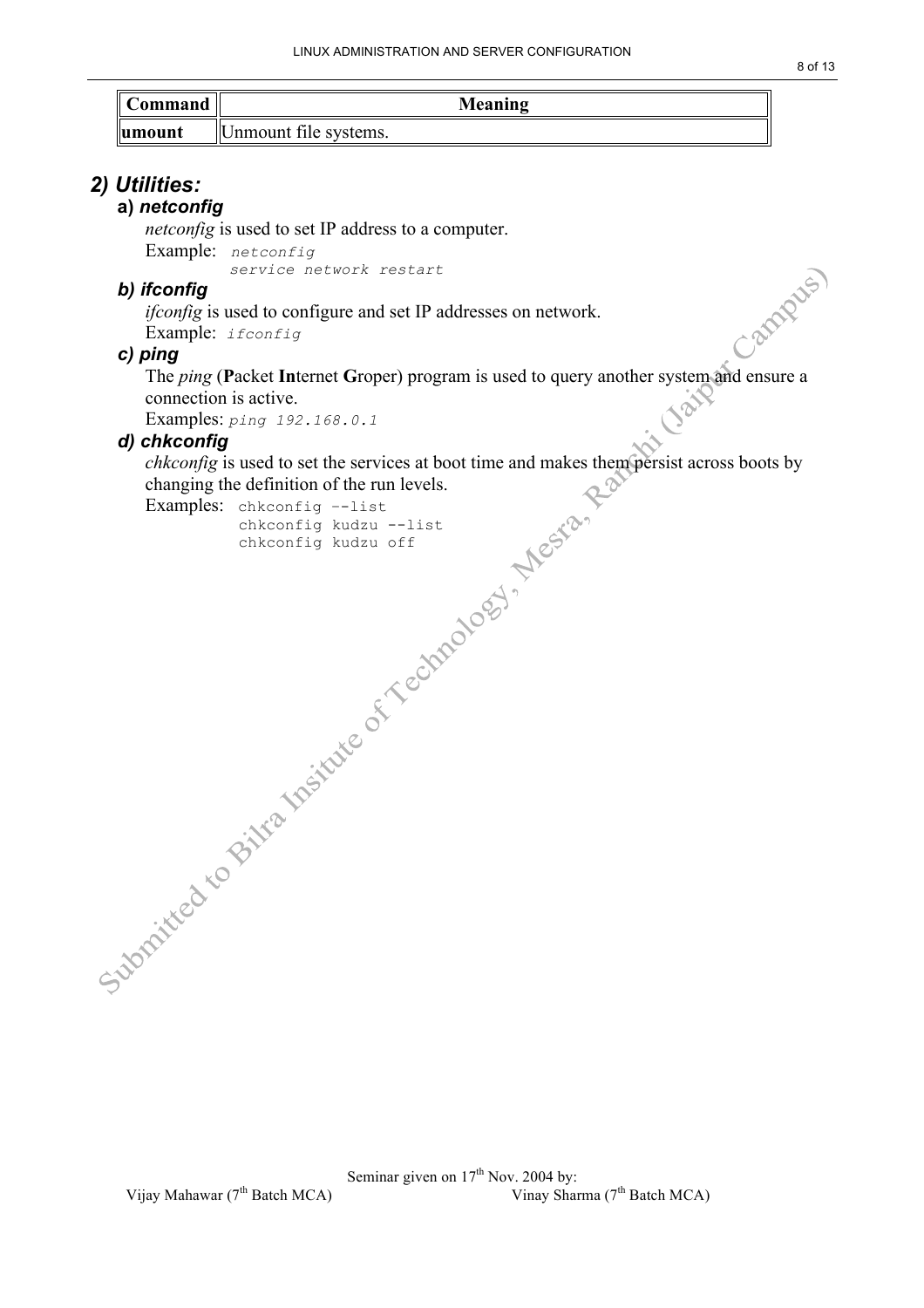| Command     | Meaning               |  |
|-------------|-----------------------|--|
| $\ $ umount | Unmount file systems. |  |

#### *2) Utilities:*

#### **a)** *netconfig*

*netconfig* is used to set IP address to a computer. Example: *netconfig service network restart*

#### *b) ifconfig*

*ifconfig* is used to configure and set IP addresses on network.

Example: *ifconfig*

#### *c) ping*

The *ping (Packet Internet Groper)* program is used to query another system and ensure a connection is active.

Examples: *ping 192.168.0.1*

#### *d) chkconfig*

*chkconfig* is used to set the services at boot time and makes them persist across boots by changing the definition of the run levels.

Examples: chkconfig –-list

chkconfig kudzu --list chkconfig kudzu off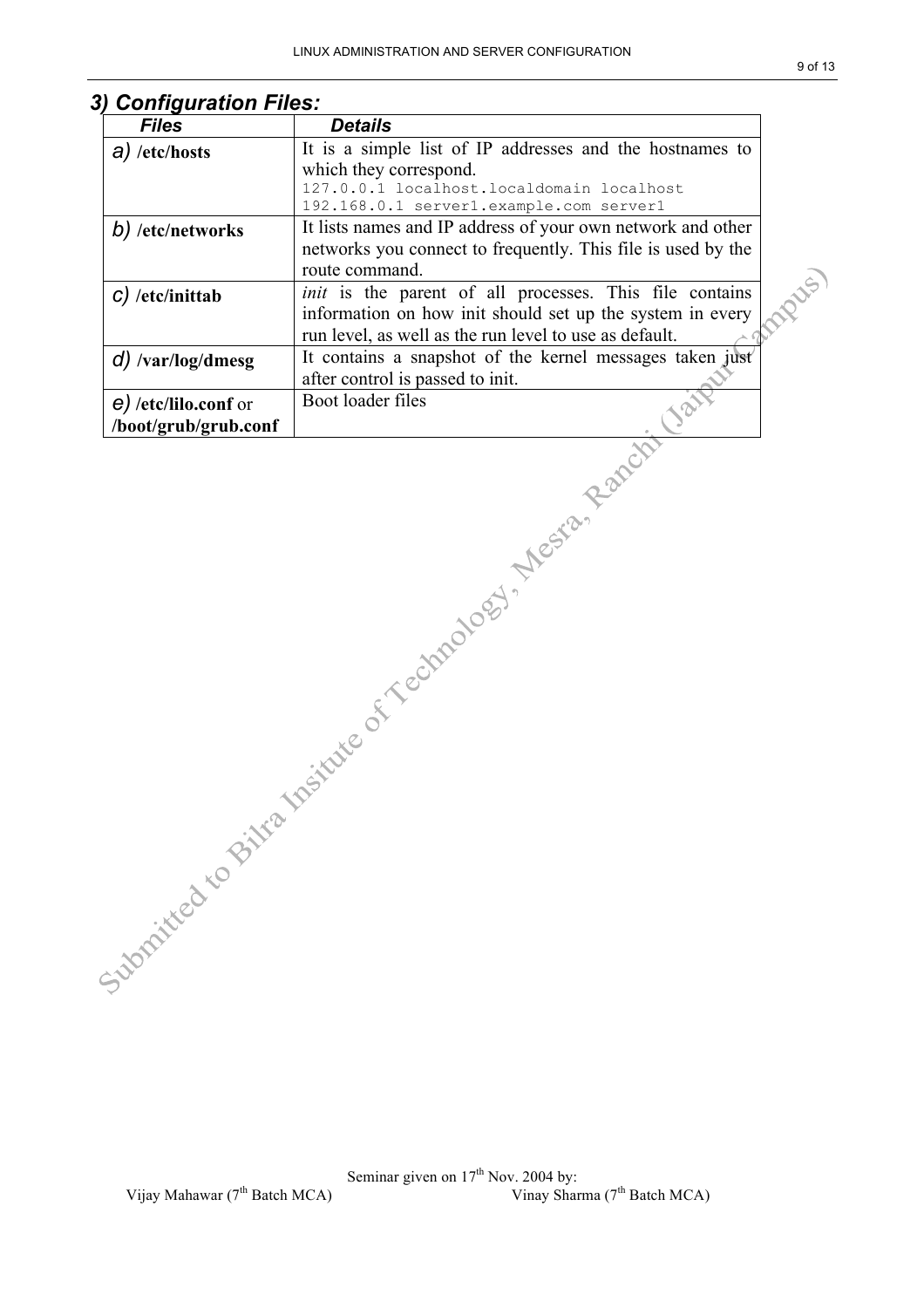| <b>Files</b>               | <b>Details</b>                                                 |  |
|----------------------------|----------------------------------------------------------------|--|
| $a)$ /etc/hosts            | It is a simple list of IP addresses and the hostnames to       |  |
|                            | which they correspond.                                         |  |
|                            | 127.0.0.1 localhost.localdomain localhost                      |  |
|                            | 192.168.0.1 server1.example.com server1                        |  |
| b) /etc/networks           | It lists names and IP address of your own network and other    |  |
|                            | networks you connect to frequently. This file is used by the   |  |
|                            | route command.                                                 |  |
| $C$ ) /etc/inittab         | <i>init</i> is the parent of all processes. This file contains |  |
|                            | information on how init should set up the system in every      |  |
|                            | run level, as well as the run level to use as default.         |  |
| $d)$ /var/log/dmesg        | It contains a snapshot of the kernel messages taken just       |  |
|                            | after control is passed to init.                               |  |
| $\theta$ /etc/lilo.conf or | Boot loader files                                              |  |
| /boot/grub/grub.conf       |                                                                |  |
|                            |                                                                |  |

### *3) Configuration Files:*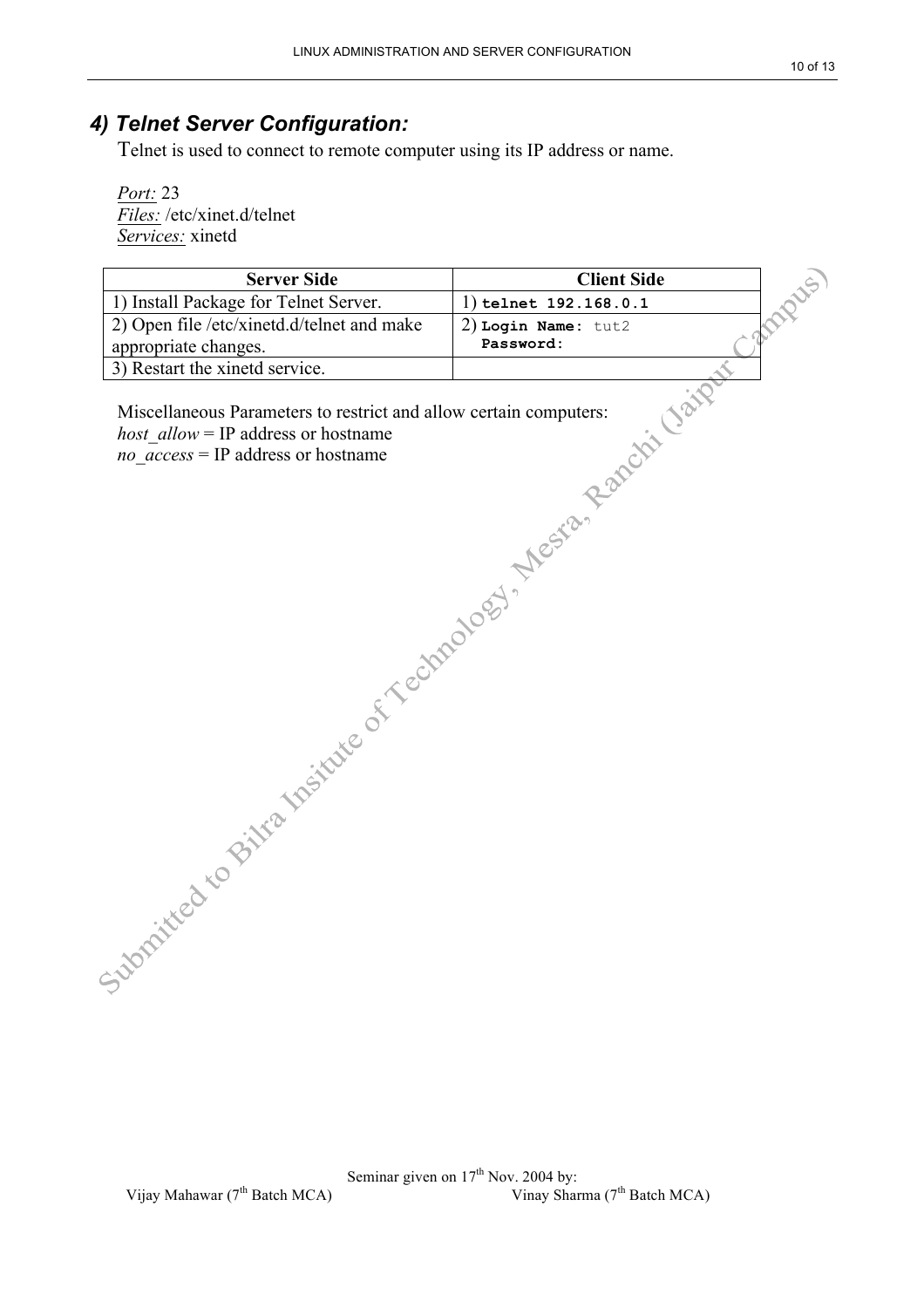#### *4) Telnet Server Configuration:*

Telnet is used to connect to remote computer using its IP address or name.

*Port:* 23 *Files:* /etc/xinet.d/telnet *Services:* xinetd

| <b>Server Side</b>                                              | <b>Client Side</b>      | Cabapter. |
|-----------------------------------------------------------------|-------------------------|-----------|
| 1) Install Package for Telnet Server.                           | 1) telnet $192.168.0.1$ |           |
| 2) Open file /etc/xinetd.d/telnet and make                      | 2) Login Name: tut2     |           |
|                                                                 |                         |           |
|                                                                 |                         |           |
|                                                                 |                         |           |
|                                                                 |                         |           |
| Julian Care of Me Meiline of A echnology & Megan Ranchi ( high- |                         |           |
|                                                                 |                         |           |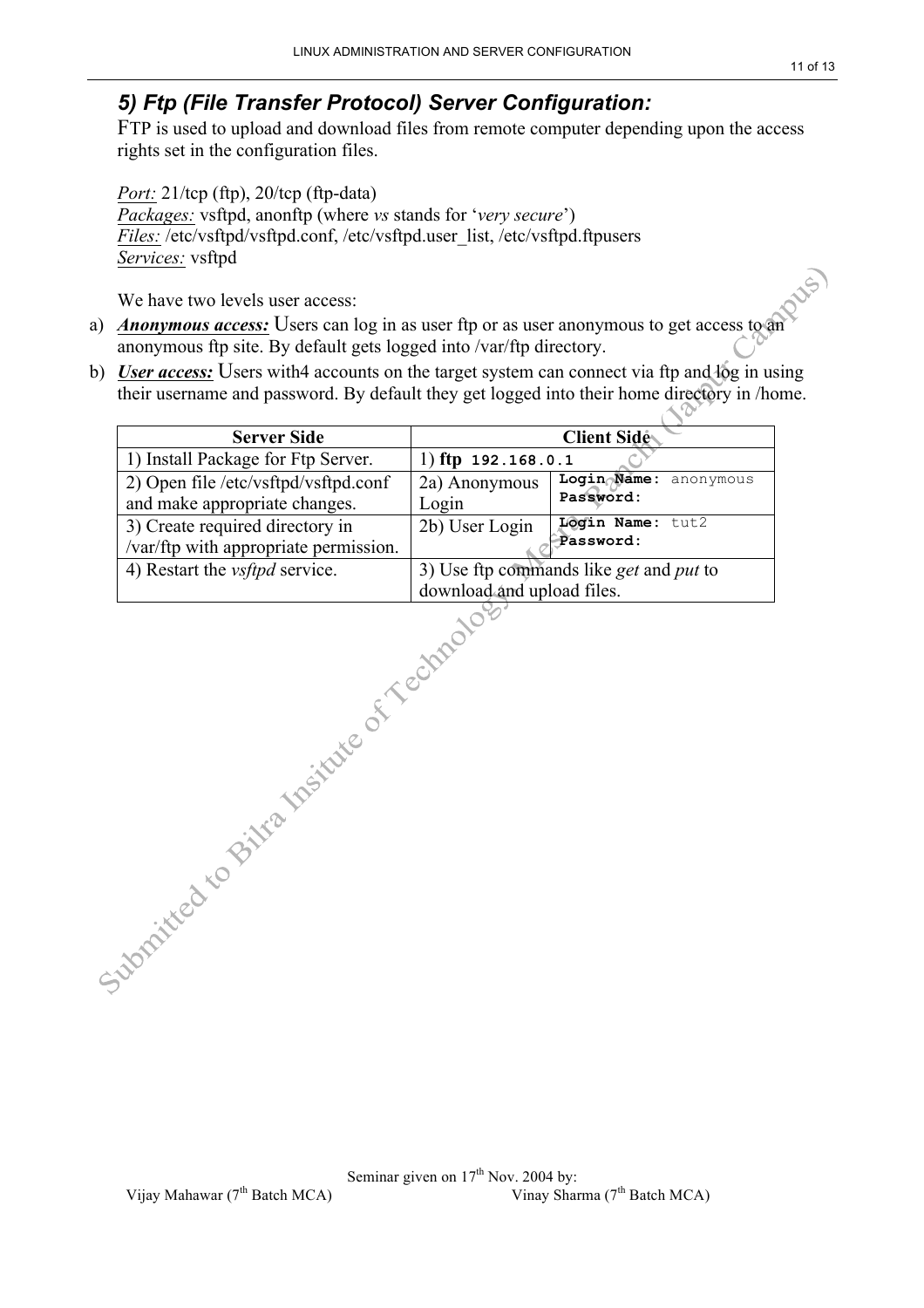#### *5) Ftp (File Transfer Protocol) Server Configuration:*

FTP is used to upload and download files from remote computer depending upon the access rights set in the configuration files.

*Port:* 21/tcp (ftp), 20/tcp (ftp-data) *Packages:* vsftpd, anonftp (where *vs* stands for '*very secure*') *Files:* /etc/vsftpd/vsftpd.conf, /etc/vsftpd.user\_list, /etc/vsftpd.ftpusers *Services:* vsftpd

We have two levels user access:

- a) *Anonymous access:* Users can log in as user ftp or as user anonymous to get access to an anonymous ftp site. By default gets logged into /var/ftp directory.
- b) *User access:* Users with4 accounts on the target system can connect via ftp and log in using their username and password. By default they get logged into their home directory in /home.

| <b>Server Side</b>                                                       |                                                                       | <b>Client Side</b>                 |
|--------------------------------------------------------------------------|-----------------------------------------------------------------------|------------------------------------|
| 1) Install Package for Ftp Server.                                       | 1) ftp $192.168.0.1$                                                  |                                    |
| 2) Open file /etc/vsftpd/vsftpd.conf<br>and make appropriate changes.    | 2a) Anonymous<br>Login                                                | Login Name: anonymous<br>Password: |
| 3) Create required directory in<br>/var/ftp with appropriate permission. | 2b) User Login                                                        | Login Name: tut2<br>Password:      |
| 4) Restart the <i>vsftpd</i> service.                                    | 3) Use ftp commands like get and put to<br>download and upload files. |                                    |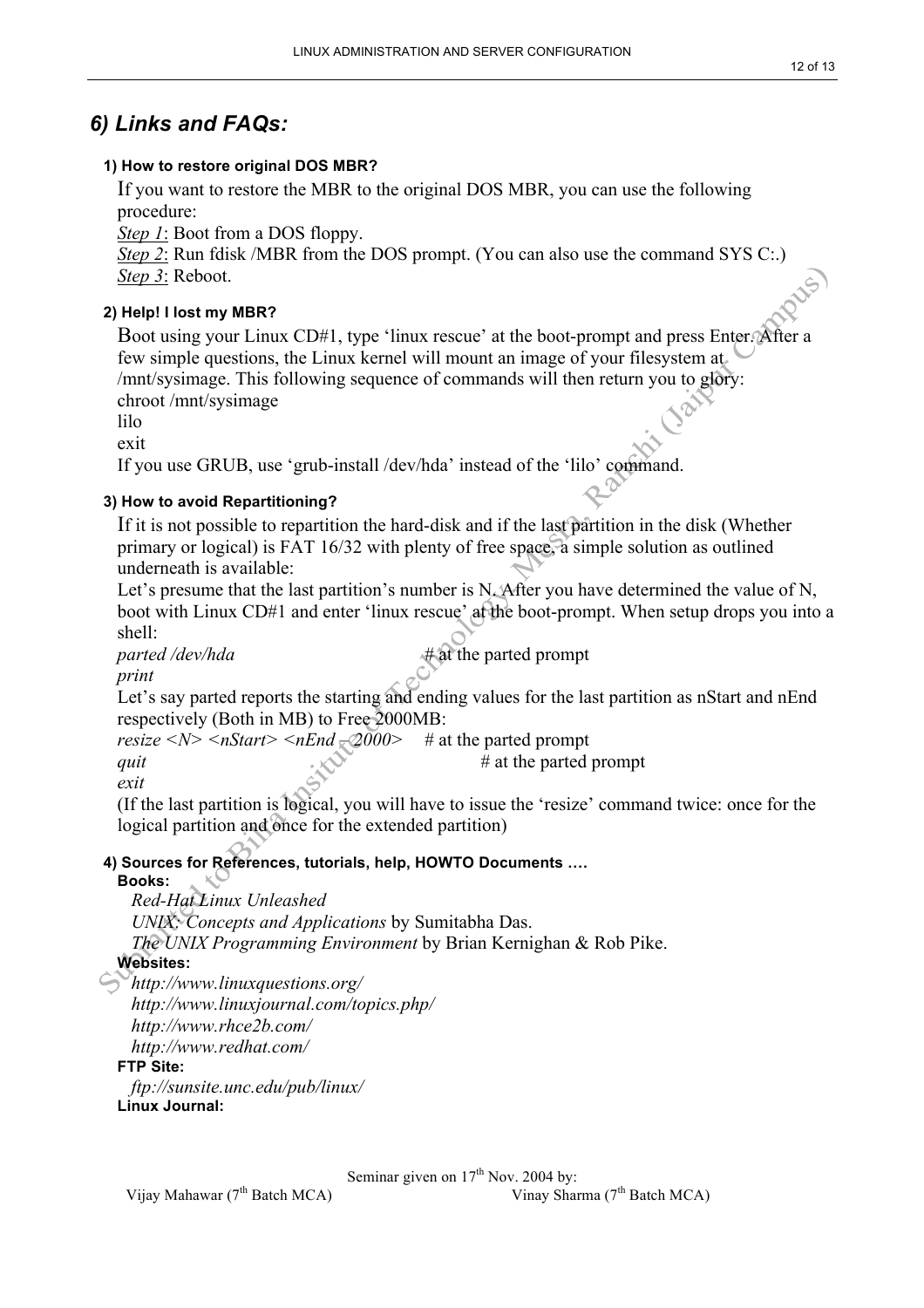#### *6) Links and FAQs:*

#### **1) How to restore original DOS MBR?**

If you want to restore the MBR to the original DOS MBR, you can use the following procedure:

*Step 1*: Boot from a DOS floppy.

*Step 2*: Run fdisk /MBR from the DOS prompt. (You can also use the command SYS C:.) *Step 3*: Reboot.

#### **2) Help! I lost my MBR?**

Boot using your Linux CD#1, type 'linux rescue' at the boot-prompt and press Enter. After a few simple questions, the Linux kernel will mount an image of your filesystem at /mnt/sysimage. This following sequence of commands will then return you to glory: chroot /mnt/sysimage

lilo

exit

If you use GRUB, use 'grub-install /dev/hda' instead of the 'lilo' command.

#### **3) How to avoid Repartitioning?**

If it is not possible to repartition the hard-disk and if the last partition in the disk (Whether primary or logical) is FAT 16/32 with plenty of free space, a simple solution as outlined underneath is available:

Let's presume that the last partition's number is N. After you have determined the value of N, boot with Linux CD#1 and enter 'linux rescue' at the boot-prompt. When setup drops you into a shell:

*parted /dev/hda*  $\#$  at the parted prompt *print*

Let's say parted reports the starting and ending values for the last partition as nStart and nEnd respectively (Both in MB) to Free 2000MB:

*resize*  $\langle N \rangle \langle nStart \rangle \langle nEnd \rangle \langle 2000 \rangle$  # at the parted prompt *quit* # at the parted prompt *exit*

(If the last partition is logical, you will have to issue the 'resize' command twice: once for the logical partition and once for the extended partition)

#### **4) Sources for References, tutorials, help, HOWTO Documents ….**

**Books:**

*Red-Hat Linux Unleashed UNIX: Concepts and Applications* by Sumitabha Das. *The UNIX Programming Environment* by Brian Kernighan & Rob Pike.

#### **Websites:**

*http://www.linuxquestions.org/ http://www.linuxjournal.com/topics.php/ http://www.rhce2b.com/ http://www.redhat.com/*

#### **FTP Site:**

*ftp://sunsite.unc.edu/pub/linux/* **Linux Journal:**

Seminar given on  $17<sup>th</sup>$  Nov. 2004 by: